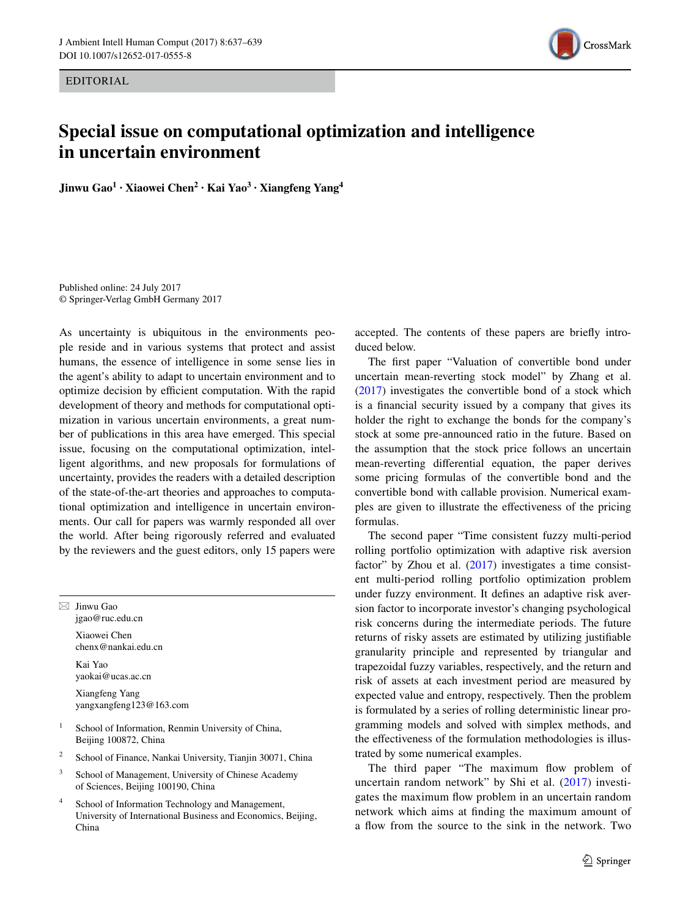EDITORIAL



## **Special issue on computational optimization and intelligence in uncertain environment**

**Jinwu Gao1 · Xiaowei Chen2 · Kai Yao3 · Xiangfeng Yang4**

Published online: 24 July 2017 © Springer-Verlag GmbH Germany 2017

As uncertainty is ubiquitous in the environments people reside and in various systems that protect and assist humans, the essence of intelligence in some sense lies in the agent's ability to adapt to uncertain environment and to optimize decision by efficient computation. With the rapid development of theory and methods for computational optimization in various uncertain environments, a great number of publications in this area have emerged. This special issue, focusing on the computational optimization, intelligent algorithms, and new proposals for formulations of uncertainty, provides the readers with a detailed description of the state-of-the-art theories and approaches to computational optimization and intelligence in uncertain environments. Our call for papers was warmly responded all over the world. After being rigorously referred and evaluated by the reviewers and the guest editors, only 15 papers were

jgao@ruc.edu.cn Xiaowei Chen chenx@nankai.edu.cn Kai Yao yaokai@ucas.ac.cn Xiangfeng Yang yangxangfeng123@163.com

 $\boxtimes$  Jinwu Gao

- School of Information, Renmin University of China, Beijing 100872, China
- <sup>2</sup> School of Finance, Nankai University, Tianjin 30071, China
- <sup>3</sup> School of Management, University of Chinese Academy of Sciences, Beijing 100190, China
- <sup>4</sup> School of Information Technology and Management, University of International Business and Economics, Beijing, China

accepted. The contents of these papers are briefly introduced below.

The first paper "Valuation of convertible bond under uncertain mean-reverting stock model" by Zhang et al. [\(2017](#page-2-0)) investigates the convertible bond of a stock which is a financial security issued by a company that gives its holder the right to exchange the bonds for the company's stock at some pre-announced ratio in the future. Based on the assumption that the stock price follows an uncertain mean-reverting differential equation, the paper derives some pricing formulas of the convertible bond and the convertible bond with callable provision. Numerical examples are given to illustrate the effectiveness of the pricing formulas.

The second paper "Time consistent fuzzy multi-period rolling portfolio optimization with adaptive risk aversion factor" by Zhou et al. ([2017\)](#page-2-1) investigates a time consistent multi-period rolling portfolio optimization problem under fuzzy environment. It defines an adaptive risk aversion factor to incorporate investor's changing psychological risk concerns during the intermediate periods. The future returns of risky assets are estimated by utilizing justifiable granularity principle and represented by triangular and trapezoidal fuzzy variables, respectively, and the return and risk of assets at each investment period are measured by expected value and entropy, respectively. Then the problem is formulated by a series of rolling deterministic linear programming models and solved with simplex methods, and the effectiveness of the formulation methodologies is illustrated by some numerical examples.

The third paper "The maximum flow problem of uncertain random network" by Shi et al. ([2017\)](#page-2-2) investigates the maximum flow problem in an uncertain random network which aims at finding the maximum amount of a flow from the source to the sink in the network. Two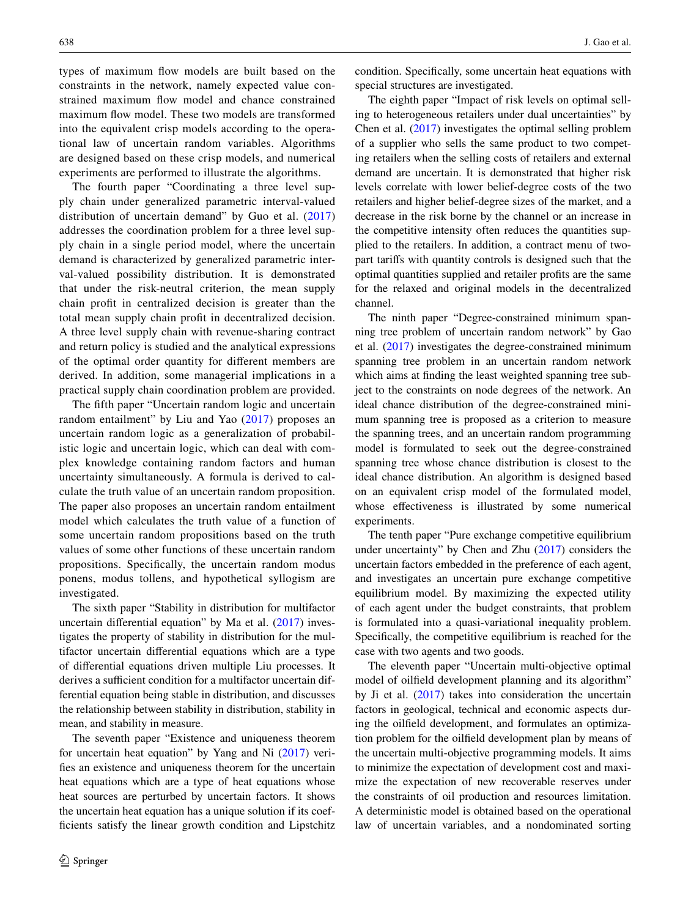types of maximum flow models are built based on the constraints in the network, namely expected value constrained maximum flow model and chance constrained maximum flow model. These two models are transformed into the equivalent crisp models according to the operational law of uncertain random variables. Algorithms are designed based on these crisp models, and numerical experiments are performed to illustrate the algorithms.

The fourth paper "Coordinating a three level supply chain under generalized parametric interval-valued distribution of uncertain demand" by Guo et al. [\(2017\)](#page-2-3) addresses the coordination problem for a three level supply chain in a single period model, where the uncertain demand is characterized by generalized parametric interval-valued possibility distribution. It is demonstrated that under the risk-neutral criterion, the mean supply chain profit in centralized decision is greater than the total mean supply chain profit in decentralized decision. A three level supply chain with revenue-sharing contract and return policy is studied and the analytical expressions of the optimal order quantity for different members are derived. In addition, some managerial implications in a practical supply chain coordination problem are provided.

The fifth paper "Uncertain random logic and uncertain random entailment" by Liu and Yao ([2017](#page-2-4)) proposes an uncertain random logic as a generalization of probabilistic logic and uncertain logic, which can deal with complex knowledge containing random factors and human uncertainty simultaneously. A formula is derived to calculate the truth value of an uncertain random proposition. The paper also proposes an uncertain random entailment model which calculates the truth value of a function of some uncertain random propositions based on the truth values of some other functions of these uncertain random propositions. Specifically, the uncertain random modus ponens, modus tollens, and hypothetical syllogism are investigated.

The sixth paper "Stability in distribution for multifactor uncertain differential equation" by Ma et al. [\(2017](#page-2-5)) investigates the property of stability in distribution for the multifactor uncertain differential equations which are a type of differential equations driven multiple Liu processes. It derives a sufficient condition for a multifactor uncertain differential equation being stable in distribution, and discusses the relationship between stability in distribution, stability in mean, and stability in measure.

The seventh paper "Existence and uniqueness theorem for uncertain heat equation" by Yang and Ni [\(2017](#page-2-6)) verifies an existence and uniqueness theorem for the uncertain heat equations which are a type of heat equations whose heat sources are perturbed by uncertain factors. It shows the uncertain heat equation has a unique solution if its coefficients satisfy the linear growth condition and Lipstchitz condition. Specifically, some uncertain heat equations with special structures are investigated.

The eighth paper "Impact of risk levels on optimal selling to heterogeneous retailers under dual uncertainties" by Chen et al. ([2017\)](#page-2-7) investigates the optimal selling problem of a supplier who sells the same product to two competing retailers when the selling costs of retailers and external demand are uncertain. It is demonstrated that higher risk levels correlate with lower belief-degree costs of the two retailers and higher belief-degree sizes of the market, and a decrease in the risk borne by the channel or an increase in the competitive intensity often reduces the quantities supplied to the retailers. In addition, a contract menu of twopart tariffs with quantity controls is designed such that the optimal quantities supplied and retailer profits are the same for the relaxed and original models in the decentralized channel.

The ninth paper "Degree-constrained minimum spanning tree problem of uncertain random network" by Gao et al. [\(2017](#page-2-8)) investigates the degree-constrained minimum spanning tree problem in an uncertain random network which aims at finding the least weighted spanning tree subject to the constraints on node degrees of the network. An ideal chance distribution of the degree-constrained minimum spanning tree is proposed as a criterion to measure the spanning trees, and an uncertain random programming model is formulated to seek out the degree-constrained spanning tree whose chance distribution is closest to the ideal chance distribution. An algorithm is designed based on an equivalent crisp model of the formulated model, whose effectiveness is illustrated by some numerical experiments.

The tenth paper "Pure exchange competitive equilibrium under uncertainty" by Chen and Zhu ([2017\)](#page-2-9) considers the uncertain factors embedded in the preference of each agent, and investigates an uncertain pure exchange competitive equilibrium model. By maximizing the expected utility of each agent under the budget constraints, that problem is formulated into a quasi-variational inequality problem. Specifically, the competitive equilibrium is reached for the case with two agents and two goods.

The eleventh paper "Uncertain multi-objective optimal model of oilfield development planning and its algorithm" by Ji et al.  $(2017)$  $(2017)$  takes into consideration the uncertain factors in geological, technical and economic aspects during the oilfield development, and formulates an optimization problem for the oilfield development plan by means of the uncertain multi-objective programming models. It aims to minimize the expectation of development cost and maximize the expectation of new recoverable reserves under the constraints of oil production and resources limitation. A deterministic model is obtained based on the operational law of uncertain variables, and a nondominated sorting